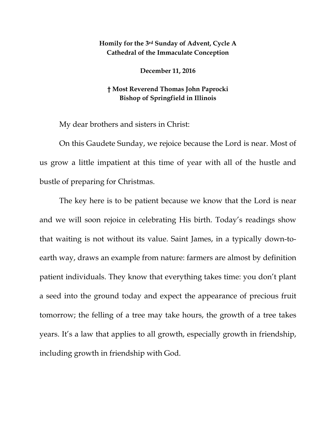## **Homily for the 3rd Sunday of Advent, Cycle A Cathedral of the Immaculate Conception**

**December 11, 2016**

## **† Most Reverend Thomas John Paprocki Bishop of Springfield in Illinois**

My dear brothers and sisters in Christ:

On this Gaudete Sunday, we rejoice because the Lord is near. Most of us grow a little impatient at this time of year with all of the hustle and bustle of preparing for Christmas.

The key here is to be patient because we know that the Lord is near and we will soon rejoice in celebrating His birth. Today's readings show that waiting is not without its value. Saint James, in a typically down-toearth way, draws an example from nature: farmers are almost by definition patient individuals. They know that everything takes time: you don't plant a seed into the ground today and expect the appearance of precious fruit tomorrow; the felling of a tree may take hours, the growth of a tree takes years. It's a law that applies to all growth, especially growth in friendship, including growth in friendship with God.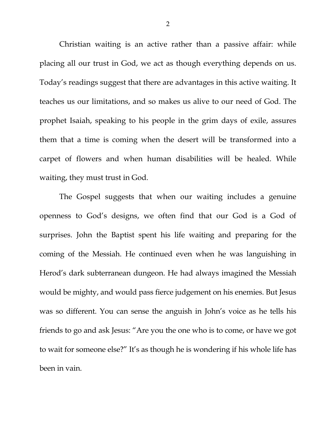Christian waiting is an active rather than a passive affair: while placing all our trust in God, we act as though everything depends on us. Today's readings suggest that there are advantages in this active waiting. It teaches us our limitations, and so makes us alive to our need of God. The prophet Isaiah, speaking to his people in the grim days of exile, assures them that a time is coming when the desert will be transformed into a carpet of flowers and when human disabilities will be healed. While waiting, they must trust in God.

The Gospel suggests that when our waiting includes a genuine openness to God's designs, we often find that our God is a God of surprises. John the Baptist spent his life waiting and preparing for the coming of the Messiah. He continued even when he was languishing in Herod's dark subterranean dungeon. He had always imagined the Messiah would be mighty, and would pass fierce judgement on his enemies. But Jesus was so different. You can sense the anguish in John's voice as he tells his friends to go and ask Jesus: "Are you the one who is to come, or have we got to wait for someone else?" It's as though he is wondering if his whole life has been in vain.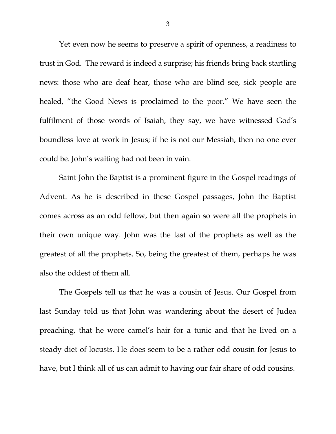Yet even now he seems to preserve a spirit of openness, a readiness to trust in God. The reward is indeed a surprise; his friends bring back startling news: those who are deaf hear, those who are blind see, sick people are healed, "the Good News is proclaimed to the poor." We have seen the fulfilment of those words of Isaiah, they say, we have witnessed God's boundless love at work in Jesus; if he is not our Messiah, then no one ever could be. John's waiting had not been in vain.

Saint John the Baptist is a prominent figure in the Gospel readings of Advent. As he is described in these Gospel passages, John the Baptist comes across as an odd fellow, but then again so were all the prophets in their own unique way. John was the last of the prophets as well as the greatest of all the prophets. So, being the greatest of them, perhaps he was also the oddest of them all.

The Gospels tell us that he was a cousin of Jesus. Our Gospel from last Sunday told us that John was wandering about the desert of Judea preaching, that he wore camel's hair for a tunic and that he lived on a steady diet of locusts. He does seem to be a rather odd cousin for Jesus to have, but I think all of us can admit to having our fair share of odd cousins.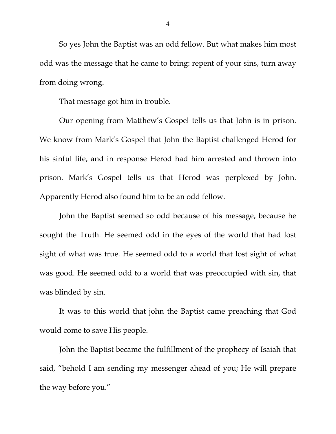So yes John the Baptist was an odd fellow. But what makes him most odd was the message that he came to bring: repent of your sins, turn away from doing wrong.

That message got him in trouble.

Our opening from Matthew's Gospel tells us that John is in prison. We know from Mark's Gospel that John the Baptist challenged Herod for his sinful life, and in response Herod had him arrested and thrown into prison. Mark's Gospel tells us that Herod was perplexed by John. Apparently Herod also found him to be an odd fellow.

John the Baptist seemed so odd because of his message, because he sought the Truth. He seemed odd in the eyes of the world that had lost sight of what was true. He seemed odd to a world that lost sight of what was good. He seemed odd to a world that was preoccupied with sin, that was blinded by sin.

It was to this world that john the Baptist came preaching that God would come to save His people.

John the Baptist became the fulfillment of the prophecy of Isaiah that said, "behold I am sending my messenger ahead of you; He will prepare the way before you."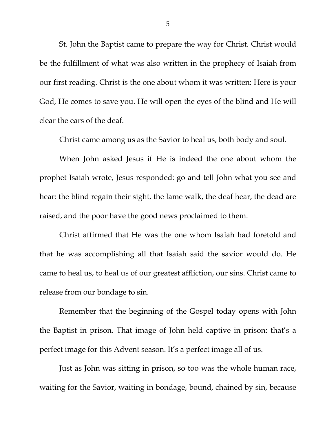St. John the Baptist came to prepare the way for Christ. Christ would be the fulfillment of what was also written in the prophecy of Isaiah from our first reading. Christ is the one about whom it was written: Here is your God, He comes to save you. He will open the eyes of the blind and He will clear the ears of the deaf.

Christ came among us as the Savior to heal us, both body and soul.

When John asked Jesus if He is indeed the one about whom the prophet Isaiah wrote, Jesus responded: go and tell John what you see and hear: the blind regain their sight, the lame walk, the deaf hear, the dead are raised, and the poor have the good news proclaimed to them.

Christ affirmed that He was the one whom Isaiah had foretold and that he was accomplishing all that Isaiah said the savior would do. He came to heal us, to heal us of our greatest affliction, our sins. Christ came to release from our bondage to sin.

Remember that the beginning of the Gospel today opens with John the Baptist in prison. That image of John held captive in prison: that's a perfect image for this Advent season. It's a perfect image all of us.

Just as John was sitting in prison, so too was the whole human race, waiting for the Savior, waiting in bondage, bound, chained by sin, because